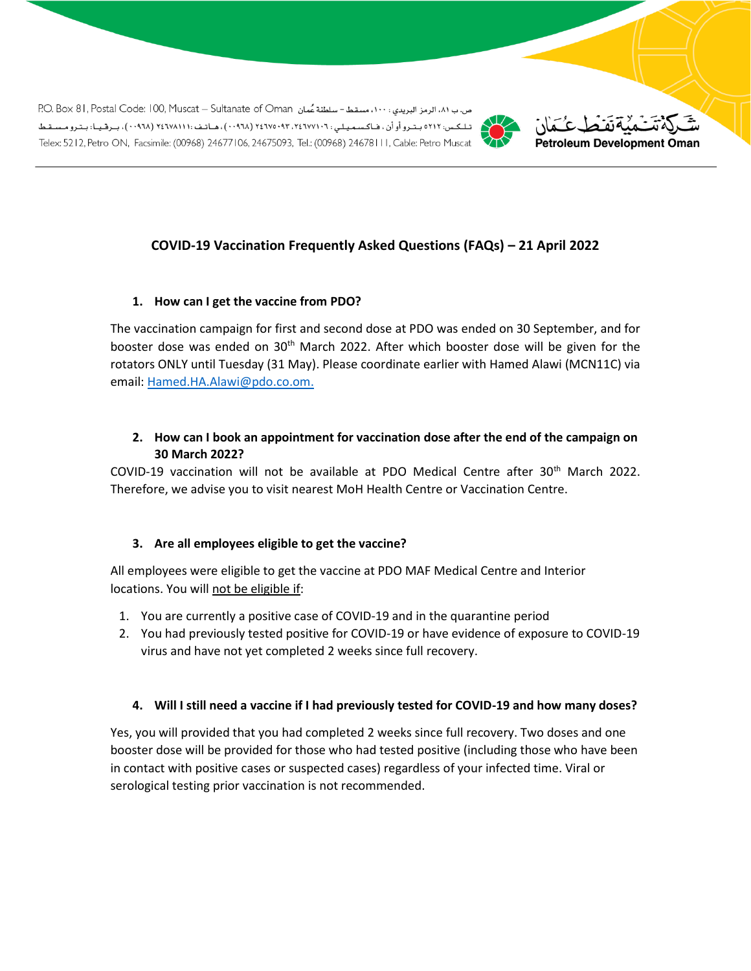ص. ب ٨١، الرمز البريدي : ١٠٠، مسقط- سلطنة عُمان P.O. Box 81, Postal Code: 100, Muscat – Sultanate of Oman تلكس: ٥٢١٢ بتروأوأن ، فـاكسميلي : ٦٠ ٢٤٦٧٧٠٩٢ (٠٠٩٦٨) ، هـاتـف : ( ٢٤٦٧٨١١١ (٠٠٩٦٨) ، بـرقـيـا: بـتـرومـسـقـط Telex: 5212, Petro ON, Facsimile: (00968) 24677106, 24675093, Tel.: (00968) 24678111, Cable: Petro Muscat



# **COVID-19 Vaccination Frequently Asked Questions (FAQs) – 21 April 2022**

#### **1. How can I get the vaccine from PDO?**

The vaccination campaign for first and second dose at PDO was ended on 30 September, and for booster dose was ended on 30<sup>th</sup> March 2022. After which booster dose will be given for the rotators ONLY until Tuesday (31 May). Please coordinate earlier with Hamed Alawi (MCN11C) via email: [Hamed.HA.Alawi@pdo.co.om.](mailto:Hamed.HA.Alawi@pdo.co.om)

#### **2. How can I book an appointment for vaccination dose after the end of the campaign on 30 March 2022?**

COVID-19 vaccination will not be available at PDO Medical Centre after 30<sup>th</sup> March 2022. Therefore, we advise you to visit nearest MoH Health Centre or Vaccination Centre.

#### **3. Are all employees eligible to get the vaccine?**

All employees were eligible to get the vaccine at PDO MAF Medical Centre and Interior locations. You will not be eligible if:

- 1. You are currently a positive case of COVID-19 and in the quarantine period
- 2. You had previously tested positive for COVID-19 or have evidence of exposure to COVID-19 virus and have not yet completed 2 weeks since full recovery.

#### **4. Will I still need a vaccine if I had previously tested for COVID-19 and how many doses?**

Yes, you will provided that you had completed 2 weeks since full recovery. Two doses and one booster dose will be provided for those who had tested positive (including those who have been in contact with positive cases or suspected cases) regardless of your infected time. Viral or serological testing prior vaccination is not recommended.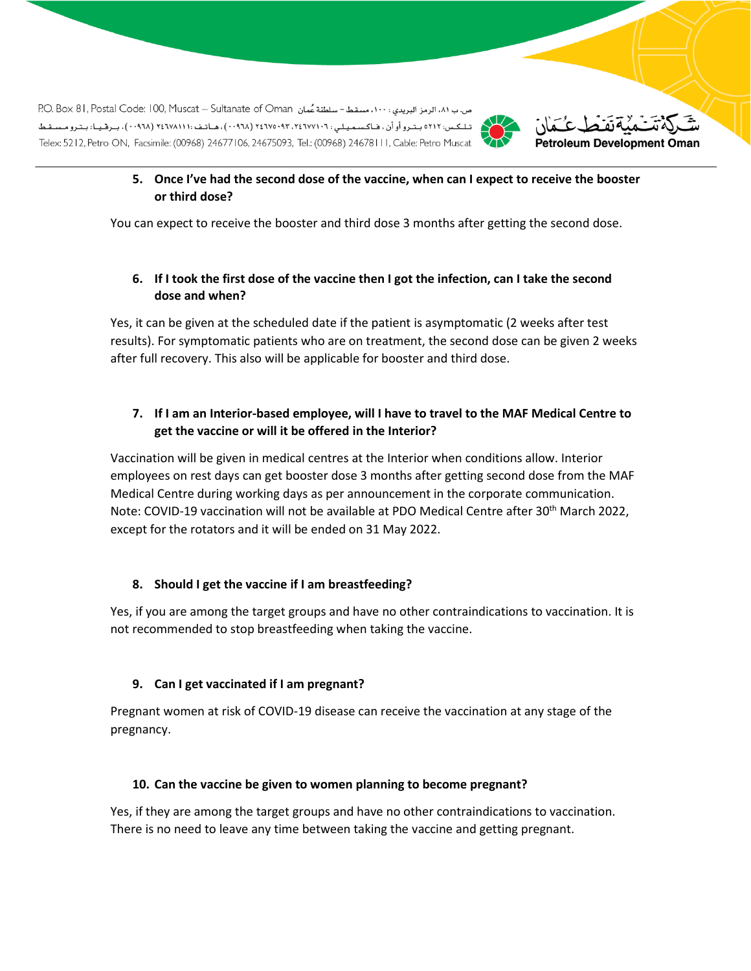ص. ب ٨١، الرمز البريدي : ١٠٠، مسقط- سلطنة عُمان P.O. Box 81, Postal Code: 100, Muscat – Sultanate of Oman تلكس: ٥٢١٢ بتروأوأن ، فـاكسميلي : ٦٠ ٢٤٦٧٧٠٩٢ (٠٠٩٦٨) ، هـاتـف : ( ٢٤٦٧٨١١١ (٠٠٩٦٨) ، بـرقـيـا: بـتـرومـسـقـط Telex: 5212, Petro ON, Facsimile: (00968) 24677106, 24675093, Tel.: (00968) 24678111, Cable: Petro Muscat



## **5. Once I've had the second dose of the vaccine, when can I expect to receive the booster or third dose?**

You can expect to receive the booster and third dose 3 months after getting the second dose.

#### **6. If I took the first dose of the vaccine then I got the infection, can I take the second dose and when?**

Yes, it can be given at the scheduled date if the patient is asymptomatic (2 weeks after test results). For symptomatic patients who are on treatment, the second dose can be given 2 weeks after full recovery. This also will be applicable for booster and third dose.

## **7. If I am an Interior-based employee, will I have to travel to the MAF Medical Centre to get the vaccine or will it be offered in the Interior?**

Vaccination will be given in medical centres at the Interior when conditions allow. Interior employees on rest days can get booster dose 3 months after getting second dose from the MAF Medical Centre during working days as per announcement in the corporate communication. Note: COVID-19 vaccination will not be available at PDO Medical Centre after 30<sup>th</sup> March 2022, except for the rotators and it will be ended on 31 May 2022.

#### **8. Should I get the vaccine if I am breastfeeding?**

Yes, if you are among the target groups and have no other contraindications to vaccination. It is not recommended to stop breastfeeding when taking the vaccine.

#### **9. Can I get vaccinated if I am pregnant?**

Pregnant women at risk of COVID-19 disease can receive the vaccination at any stage of the pregnancy.

#### **10. Can the vaccine be given to women planning to become pregnant?**

Yes, if they are among the target groups and have no other contraindications to vaccination. There is no need to leave any time between taking the vaccine and getting pregnant.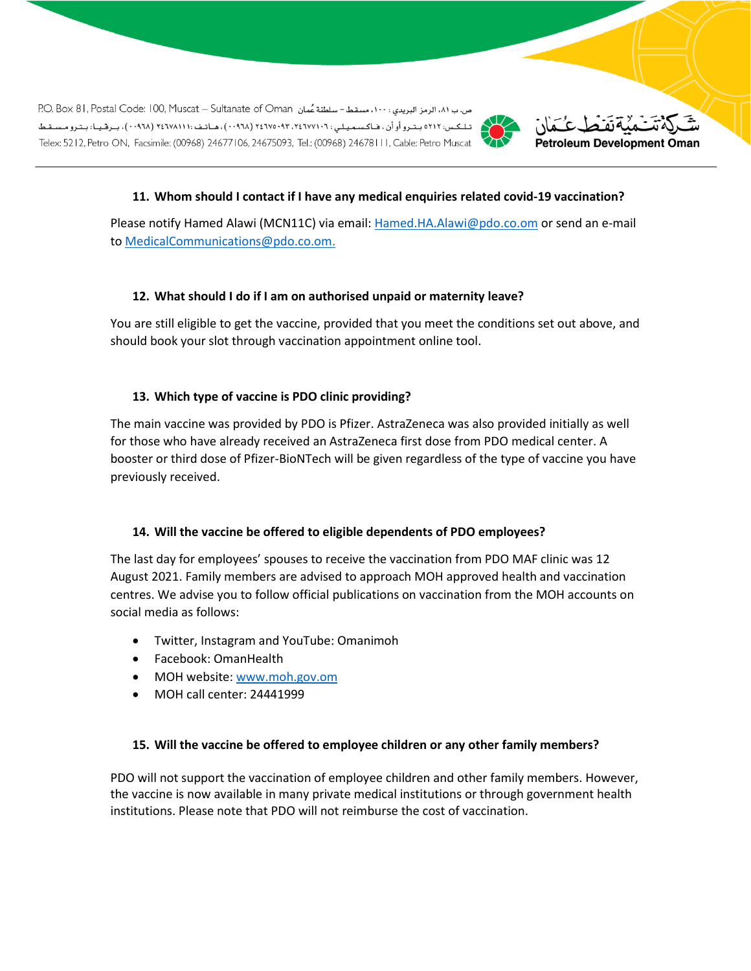ص. ب ٨١، الرمز البريدي : ١٠٠، مسقط- سلطنة عُمان P.O. Box 81, Postal Code: 100, Muscat – Sultanate of Oman تلكس: ٥٢١٢ بتروأوأن ، فـاكسميلي : ٦٠ ٢٤٦٧٧٠٩٢ (٠٠٩٦٨) ، هـاتـف : ( ٢٤٦٧٨١١١ (٠٠٩٦٨) ، بـرقـيـا: بـتـرومـسـقـط Telex: 5212, Petro ON, Facsimile: (00968) 24677106, 24675093, Tel.: (00968) 24678111, Cable: Petro Muscat





## **11. Whom should I contact if I have any medical enquiries related covid-19 vaccination?**

Please notify Hamed Alawi (MCN11C) via email: [Hamed.HA.Alawi@pdo.co.om](mailto:Hamed.HA.Alawi@pdo.co.om) or send an e-mail to [MedicalCommunications@pdo.co.om.](mailto:MedicalCommunications@pdo.co.om)

#### **12. What should I do if I am on authorised unpaid or maternity leave?**

You are still eligible to get the vaccine, provided that you meet the conditions set out above, and should book your slot through vaccination appointment online tool.

#### **13. Which type of vaccine is PDO clinic providing?**

The main vaccine was provided by PDO is Pfizer. AstraZeneca was also provided initially as well for those who have already received an AstraZeneca first dose from PDO medical center. A booster or third dose of Pfizer-BioNTech will be given regardless of the type of vaccine you have previously received.

#### **14. Will the vaccine be offered to eligible dependents of PDO employees?**

The last day for employees' spouses to receive the vaccination from PDO MAF clinic was 12 August 2021. Family members are advised to approach MOH approved health and vaccination centres. We advise you to follow official publications on vaccination from the MOH accounts on social media as follows:

- Twitter, Instagram and YouTube: Omanimoh
- Facebook: OmanHealth
- MOH website[: www.moh.gov.om](http://www.moh.gov.om/)
- MOH call center: 24441999

#### **15. Will the vaccine be offered to employee children or any other family members?**

PDO will not support the vaccination of employee children and other family members. However, the vaccine is now available in many private medical institutions or through government health institutions. Please note that PDO will not reimburse the cost of vaccination.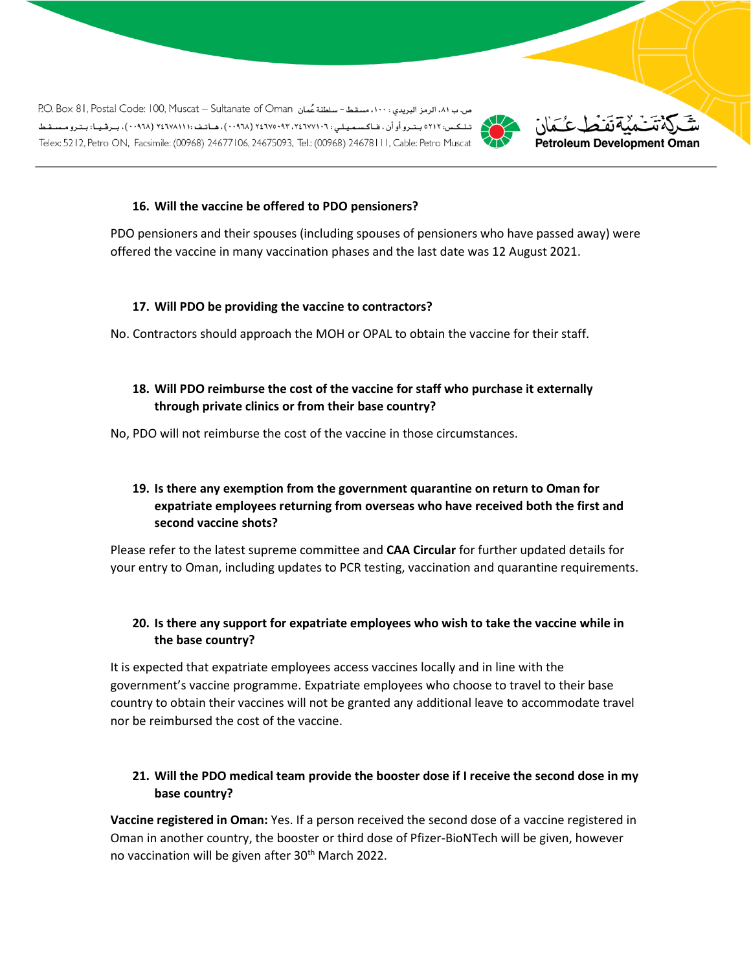ص.ب ٨١، الرمز البريدي : ١٠٠، مسقط - سلطنة عُمان RO. Box 81, Postal Code: 100, Muscat - Sultanate of Oman تلكس: ٥٢١٢ بتروأوأن ، فـاكسميلي : ٦٠ ٢٤٦٧٧٠٩٢ (٠٠٩٦٨) ، هـاتـف : ( ٢٤٦٧٨١١١ (٠٠٩٦٨) ، بـرقـيـا: بـتـرومـسـقـط Telex: 5212, Petro ON, Facsimile: (00968) 24677106, 24675093, Tel.: (00968) 24678111, Cable: Petro Muscat



# Petroleum Development Oman

#### **16. Will the vaccine be offered to PDO pensioners?**

PDO pensioners and their spouses (including spouses of pensioners who have passed away) were offered the vaccine in many vaccination phases and the last date was 12 August 2021.

#### **17. Will PDO be providing the vaccine to contractors?**

No. Contractors should approach the MOH or OPAL to obtain the vaccine for their staff.

## **18. Will PDO reimburse the cost of the vaccine for staff who purchase it externally through private clinics or from their base country?**

No, PDO will not reimburse the cost of the vaccine in those circumstances.

## **19. Is there any exemption from the government quarantine on return to Oman for expatriate employees returning from overseas who have received both the first and second vaccine shots?**

Please refer to the latest supreme committee and **CAA Circular** for further updated details for your entry to Oman, including updates to PCR testing, vaccination and quarantine requirements.

# **20. Is there any support for expatriate employees who wish to take the vaccine while in the base country?**

It is expected that expatriate employees access vaccines locally and in line with the government's vaccine programme. Expatriate employees who choose to travel to their base country to obtain their vaccines will not be granted any additional leave to accommodate travel nor be reimbursed the cost of the vaccine.

## **21. Will the PDO medical team provide the booster dose if I receive the second dose in my base country?**

**Vaccine registered in Oman:** Yes. If a person received the second dose of a vaccine registered in Oman in another country, the booster or third dose of Pfizer-BioNTech will be given, however no vaccination will be given after 30<sup>th</sup> March 2022.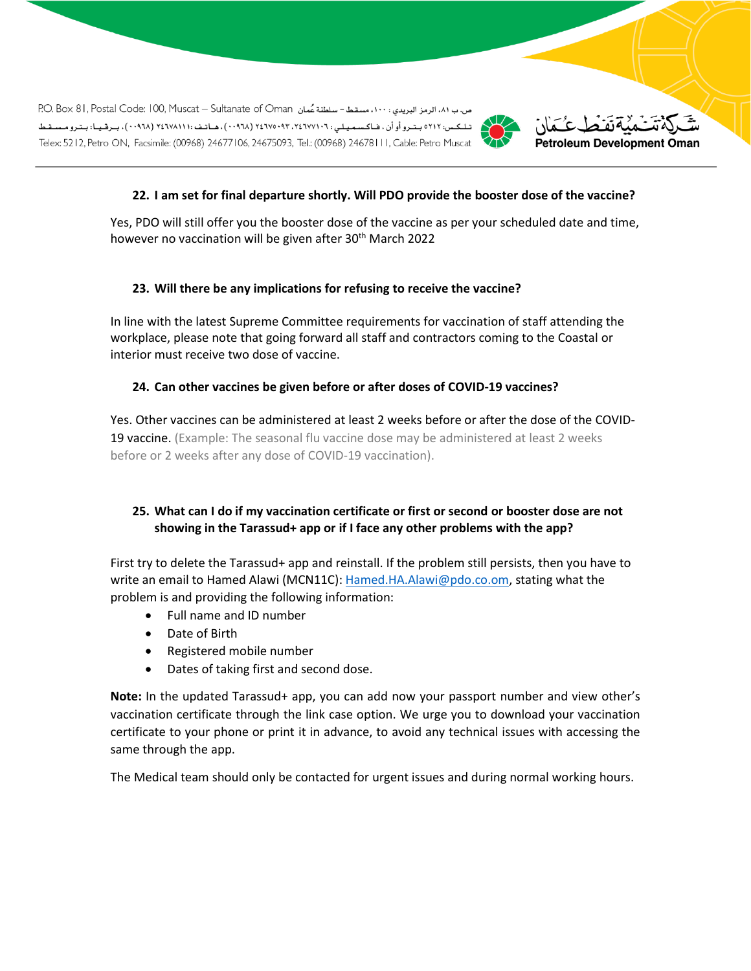ص.ب ٨١، الرمز البريدي : ١٠٠، مسقط - سلطنة عُمان RO. Box 81, Postal Code: 100, Muscat - Sultanate of Oman تـلـكـس: ٥٢١٢ بـتـرو أو أن ، فـاكـسـمـيـلـي : ٢ ٢٤٦٧٧٠٩٢ (٠٠٩٦٨) ، ٢٤٦٧٨١١١) ، مـاتـف : ( ٢٤٦٧٨١١) ، بـرقـيـا: بـتـرو مـسـقـط Telex: 5212, Petro ON, Facsimile: (00968) 24677106, 24675093, Tel.: (00968) 24678111, Cable: Petro Muscat





## **22. I am set for final departure shortly. Will PDO provide the booster dose of the vaccine?**

Yes, PDO will still offer you the booster dose of the vaccine as per your scheduled date and time, however no vaccination will be given after 30<sup>th</sup> March 2022

#### **23. Will there be any implications for refusing to receive the vaccine?**

In line with the latest Supreme Committee requirements for vaccination of staff attending the workplace, please note that going forward all staff and contractors coming to the Coastal or interior must receive two dose of vaccine.

#### **24. Can other vaccines be given before or after doses of COVID-19 vaccines?**

Yes. Other vaccines can be administered at least 2 weeks before or after the dose of the COVID-19 vaccine. (Example: The seasonal flu vaccine dose may be administered at least 2 weeks before or 2 weeks after any dose of COVID-19 vaccination).

## **25. What can I do if my vaccination certificate or first or second or booster dose are not showing in the Tarassud+ app or if I face any other problems with the app?**

First try to delete the Tarassud+ app and reinstall. If the problem still persists, then you have to write an email to Hamed Alawi (MCN11C): [Hamed.HA.Alawi@pdo.co.om,](mailto:Hamed.HA.Alawi@pdo.co.om) stating what the problem is and providing the following information:

- Full name and ID number
- Date of Birth
- Registered mobile number
- Dates of taking first and second dose.

**Note:** In the updated Tarassud+ app, you can add now your passport number and view other's vaccination certificate through the link case option. We urge you to download your vaccination certificate to your phone or print it in advance, to avoid any technical issues with accessing the same through the app.

The Medical team should only be contacted for urgent issues and during normal working hours.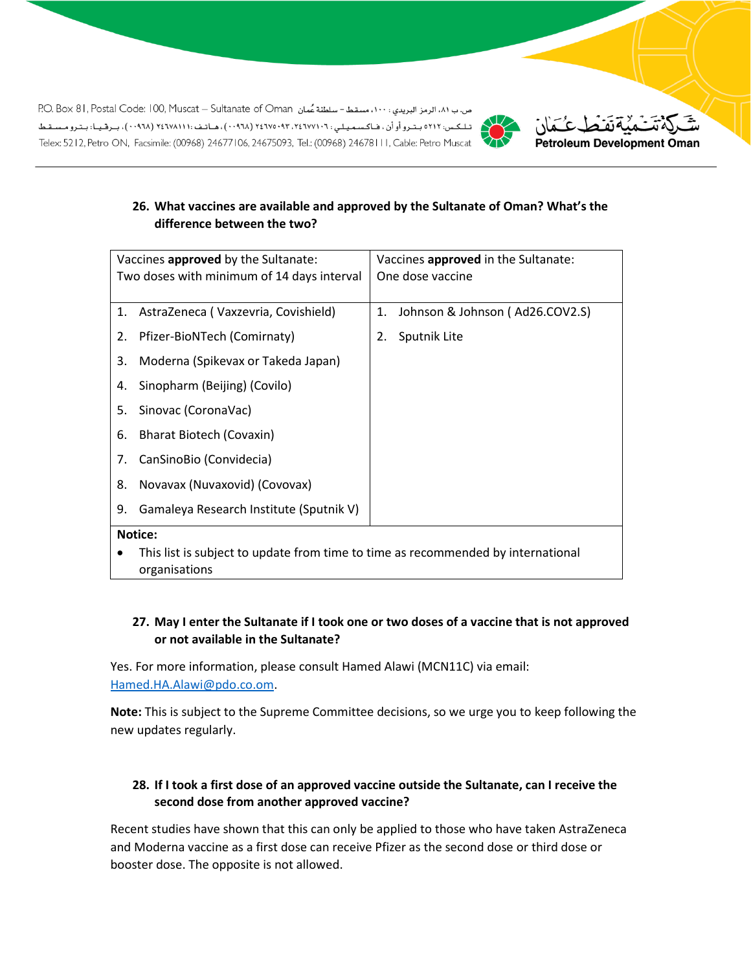ص.ب ٨١، الرمز البريدي: ١٠٠، مسقط - سلطنة عُمان P.O. Box 81, Postal Code: 100, Muscat - Sultanate of Oman تىلكىس: ٥٢١٢ بىتىرو أو أن ، فاكسىميلى : ٢٤٦٧٥٠٩٢ ، ٢٤٦٧٥٠٩٢ (٩٦٨٠) ، هـاتـف : ١٠٠٧٨١١١ (٢٠٩٦٨) ، بـرقـيـا: بـتـرو مـسـقـط Telex: 5212, Petro ON, Facsimile: (00968) 24677106, 24675093, Tel.: (00968) 24678111, Cable: Petro Muscat





## **26. What vaccines are available and approved by the Sultanate of Oman? What's the difference between the two?**

| Vaccines approved by the Sultanate:                                              |                                         | Vaccines approved in the Sultanate: |                                 |  |
|----------------------------------------------------------------------------------|-----------------------------------------|-------------------------------------|---------------------------------|--|
| Two doses with minimum of 14 days interval                                       |                                         | One dose vaccine                    |                                 |  |
|                                                                                  |                                         |                                     |                                 |  |
| 1.                                                                               | AstraZeneca (Vaxzevria, Covishield)     | 1.                                  | Johnson & Johnson (Ad26.COV2.S) |  |
| 2.                                                                               | Pfizer-BioNTech (Comirnaty)             | 2.                                  | Sputnik Lite                    |  |
| 3.                                                                               | Moderna (Spikevax or Takeda Japan)      |                                     |                                 |  |
| 4.                                                                               | Sinopharm (Beijing) (Covilo)            |                                     |                                 |  |
| 5.                                                                               | Sinovac (CoronaVac)                     |                                     |                                 |  |
| 6.                                                                               | <b>Bharat Biotech (Covaxin)</b>         |                                     |                                 |  |
| 7.                                                                               | CanSinoBio (Convidecia)                 |                                     |                                 |  |
| 8.                                                                               | Novavax (Nuvaxovid) (Covovax)           |                                     |                                 |  |
| 9.                                                                               | Gamaleya Research Institute (Sputnik V) |                                     |                                 |  |
| <b>Notice:</b>                                                                   |                                         |                                     |                                 |  |
| This list is subject to update from time to time as recommended by international |                                         |                                     |                                 |  |
|                                                                                  | organisations                           |                                     |                                 |  |

## **27. May I enter the Sultanate if I took one or two doses of a vaccine that is not approved or not available in the Sultanate?**

Yes. For more information, please consult Hamed Alawi (MCN11C) via email: [Hamed.HA.Alawi@pdo.co.om.](mailto:Hamed.HA.Alawi@pdo.co.om)

**Note:** This is subject to the Supreme Committee decisions, so we urge you to keep following the new updates regularly.

# **28. If I took a first dose of an approved vaccine outside the Sultanate, can I receive the second dose from another approved vaccine?**

Recent studies have shown that this can only be applied to those who have taken AstraZeneca and Moderna vaccine as a first dose can receive Pfizer as the second dose or third dose or booster dose. The opposite is not allowed.